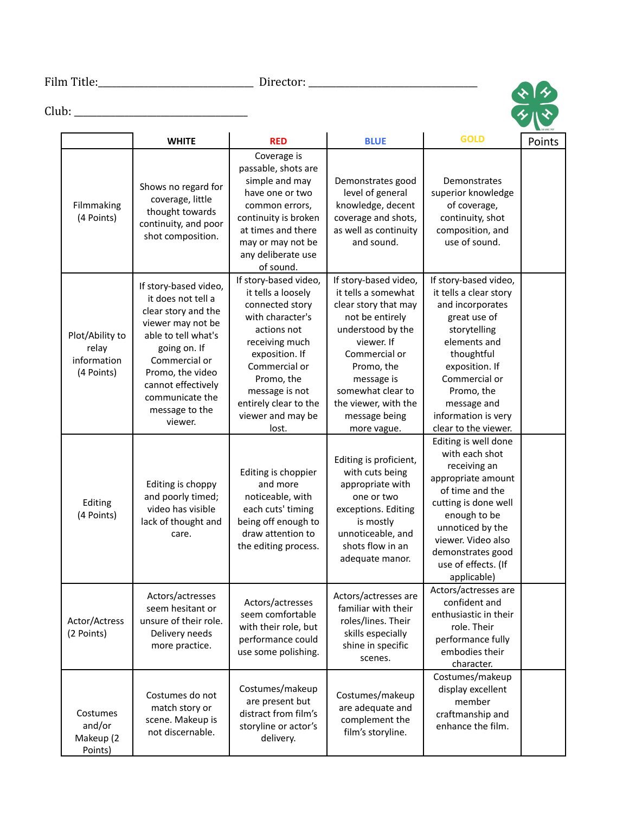Film Title:\_\_\_\_\_\_\_\_\_\_\_\_\_\_\_\_\_\_\_\_\_\_\_\_\_\_\_\_\_\_\_\_\_\_ Director: \_\_\_\_\_\_\_\_\_\_\_\_\_\_\_\_\_\_\_\_\_\_\_\_\_\_\_\_\_\_\_\_\_\_\_\_\_

 $\frac{1}{2}$ 

## Club: \_\_\_\_\_\_\_\_\_\_\_\_\_\_\_\_\_\_\_\_\_\_\_\_\_\_\_\_\_\_\_\_\_\_\_\_\_\_

|                                                       | <b>WHITE</b>                                                                                                                                                                                                                              | <b>RED</b>                                                                                                                                                                                                                                    | <b>BLUE</b>                                                                                                                                                                                                                                          | <b>GOLD</b>                                                                                                                                                                                                                                      | Points |
|-------------------------------------------------------|-------------------------------------------------------------------------------------------------------------------------------------------------------------------------------------------------------------------------------------------|-----------------------------------------------------------------------------------------------------------------------------------------------------------------------------------------------------------------------------------------------|------------------------------------------------------------------------------------------------------------------------------------------------------------------------------------------------------------------------------------------------------|--------------------------------------------------------------------------------------------------------------------------------------------------------------------------------------------------------------------------------------------------|--------|
| Filmmaking<br>(4 Points)                              | Shows no regard for<br>coverage, little<br>thought towards<br>continuity, and poor<br>shot composition.                                                                                                                                   | Coverage is<br>passable, shots are<br>simple and may<br>have one or two<br>common errors,<br>continuity is broken<br>at times and there<br>may or may not be<br>any deliberate use<br>of sound.                                               | Demonstrates good<br>level of general<br>knowledge, decent<br>coverage and shots,<br>as well as continuity<br>and sound.                                                                                                                             | Demonstrates<br>superior knowledge<br>of coverage,<br>continuity, shot<br>composition, and<br>use of sound.                                                                                                                                      |        |
| Plot/Ability to<br>relay<br>information<br>(4 Points) | If story-based video,<br>it does not tell a<br>clear story and the<br>viewer may not be<br>able to tell what's<br>going on. If<br>Commercial or<br>Promo, the video<br>cannot effectively<br>communicate the<br>message to the<br>viewer. | If story-based video,<br>it tells a loosely<br>connected story<br>with character's<br>actions not<br>receiving much<br>exposition. If<br>Commercial or<br>Promo, the<br>message is not<br>entirely clear to the<br>viewer and may be<br>lost. | If story-based video,<br>it tells a somewhat<br>clear story that may<br>not be entirely<br>understood by the<br>viewer. If<br>Commercial or<br>Promo, the<br>message is<br>somewhat clear to<br>the viewer, with the<br>message being<br>more vague. | If story-based video,<br>it tells a clear story<br>and incorporates<br>great use of<br>storytelling<br>elements and<br>thoughtful<br>exposition. If<br>Commercial or<br>Promo, the<br>message and<br>information is very<br>clear to the viewer. |        |
| Editing<br>(4 Points)                                 | Editing is choppy<br>and poorly timed;<br>video has visible<br>lack of thought and<br>care.                                                                                                                                               | Editing is choppier<br>and more<br>noticeable, with<br>each cuts' timing<br>being off enough to<br>draw attention to<br>the editing process.                                                                                                  | Editing is proficient,<br>with cuts being<br>appropriate with<br>one or two<br>exceptions. Editing<br>is mostly<br>unnoticeable, and<br>shots flow in an<br>adequate manor.                                                                          | Editing is well done<br>with each shot<br>receiving an<br>appropriate amount<br>of time and the<br>cutting is done well<br>enough to be<br>unnoticed by the<br>viewer. Video also<br>demonstrates good<br>use of effects. (If<br>applicable)     |        |
| Actor/Actress<br>(2 Points)                           | Actors/actresses<br>seem hesitant or<br>unsure of their role.<br>Delivery needs<br>more practice.                                                                                                                                         | Actors/actresses<br>seem comfortable<br>with their role, but<br>performance could<br>use some polishing.                                                                                                                                      | Actors/actresses are<br>familiar with their<br>roles/lines. Their<br>skills especially<br>shine in specific<br>scenes.                                                                                                                               | Actors/actresses are<br>confident and<br>enthusiastic in their<br>role. Their<br>performance fully<br>embodies their<br>character.                                                                                                               |        |
| Costumes<br>and/or<br>Makeup (2<br>Points)            | Costumes do not<br>match story or<br>scene. Makeup is<br>not discernable.                                                                                                                                                                 | Costumes/makeup<br>are present but<br>distract from film's<br>storyline or actor's<br>delivery.                                                                                                                                               | Costumes/makeup<br>are adequate and<br>complement the<br>film's storyline.                                                                                                                                                                           | Costumes/makeup<br>display excellent<br>member<br>craftmanship and<br>enhance the film.                                                                                                                                                          |        |